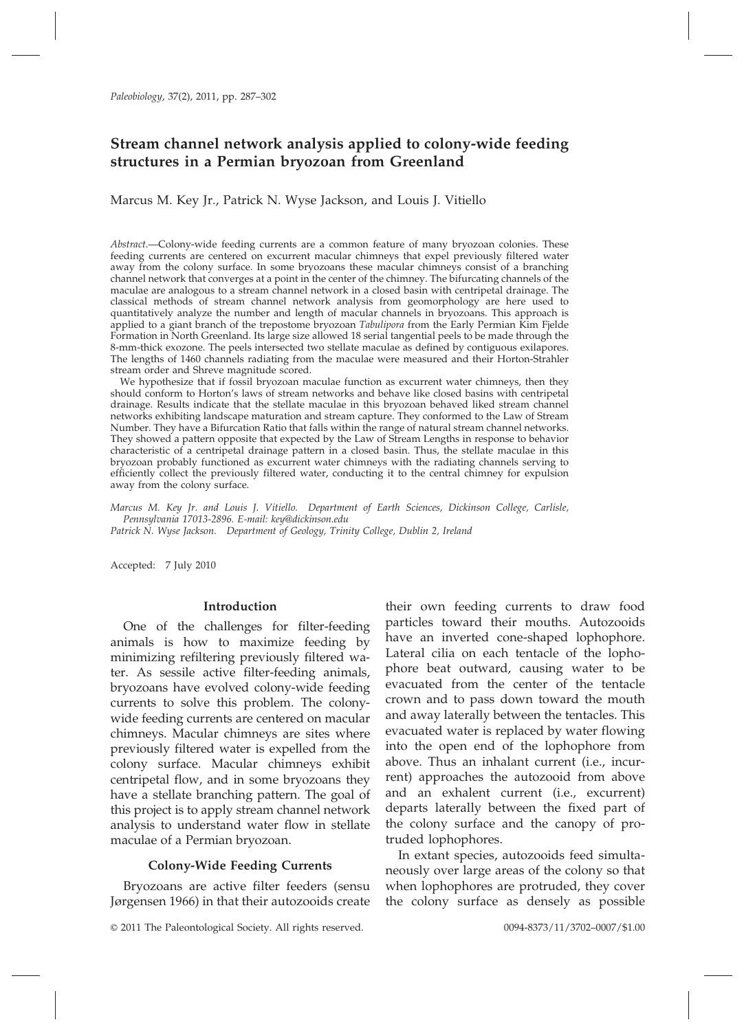# Stream channel network analysis applied to colony-wide feeding structures in a Permian bryozoan from Greenland

Marcus M. Key Jr., Patrick N. Wyse Jackson, and Louis J. Vitiello

Abstract.—Colony-wide feeding currents are a common feature of many bryozoan colonies. These feeding currents are centered on excurrent macular chimneys that expel previously filtered water away from the colony surface. In some bryozoans these macular chimneys consist of a branching channel network that converges at a point in the center of the chimney. The bifurcating channels of the maculae are analogous to a stream channel network in a closed basin with centripetal drainage. The classical methods of stream channel network analysis from geomorphology are here used to quantitatively analyze the number and length of macular channels in bryozoans. This approach is applied to a giant branch of the trepostome bryozoan Tabulipora from the Early Permian Kim Fjelde Formation in North Greenland. Its large size allowed 18 serial tangential peels to be made through the 8-mm-thick exozone. The peels intersected two stellate maculae as defined by contiguous exilapores. The lengths of 1460 channels radiating from the maculae were measured and their Horton-Strahler stream order and Shreve magnitude scored.

We hypothesize that if fossil bryozoan maculae function as excurrent water chimneys, then they should conform to Horton's laws of stream networks and behave like closed basins with centripetal drainage. Results indicate that the stellate maculae in this bryozoan behaved liked stream channel networks exhibiting landscape maturation and stream capture. They conformed to the Law of Stream Number. They have a Bifurcation Ratio that falls within the range of natural stream channel networks. They showed a pattern opposite that expected by the Law of Stream Lengths in response to behavior characteristic of a centripetal drainage pattern in a closed basin. Thus, the stellate maculae in this bryozoan probably functioned as excurrent water chimneys with the radiating channels serving to efficiently collect the previously filtered water, conducting it to the central chimney for expulsion away from the colony surface.

Marcus M. Key Jr. and Louis J. Vitiello. Department of Earth Sciences, Dickinson College, Carlisle, Pennsylvania 17013-2896. E-mail: key@dickinson.edu Patrick N. Wyse Jackson. Department of Geology, Trinity College, Dublin 2, Ireland

Accepted: 7 July 2010

### Introduction

One of the challenges for filter-feeding animals is how to maximize feeding by minimizing refiltering previously filtered water. As sessile active filter-feeding animals, bryozoans have evolved colony-wide feeding currents to solve this problem. The colonywide feeding currents are centered on macular chimneys. Macular chimneys are sites where previously filtered water is expelled from the colony surface. Macular chimneys exhibit centripetal flow, and in some bryozoans they have a stellate branching pattern. The goal of this project is to apply stream channel network analysis to understand water flow in stellate maculae of a Permian bryozoan.

# Colony-Wide Feeding Currents

Bryozoans are active filter feeders (sensu Jørgensen 1966) in that their autozooids create

their own feeding currents to draw food particles toward their mouths. Autozooids have an inverted cone-shaped lophophore. Lateral cilia on each tentacle of the lophophore beat outward, causing water to be evacuated from the center of the tentacle crown and to pass down toward the mouth and away laterally between the tentacles. This evacuated water is replaced by water flowing into the open end of the lophophore from above. Thus an inhalant current (i.e., incurrent) approaches the autozooid from above and an exhalent current (i.e., excurrent) departs laterally between the fixed part of the colony surface and the canopy of protruded lophophores.

In extant species, autozooids feed simultaneously over large areas of the colony so that when lophophores are protruded, they cover the colony surface as densely as possible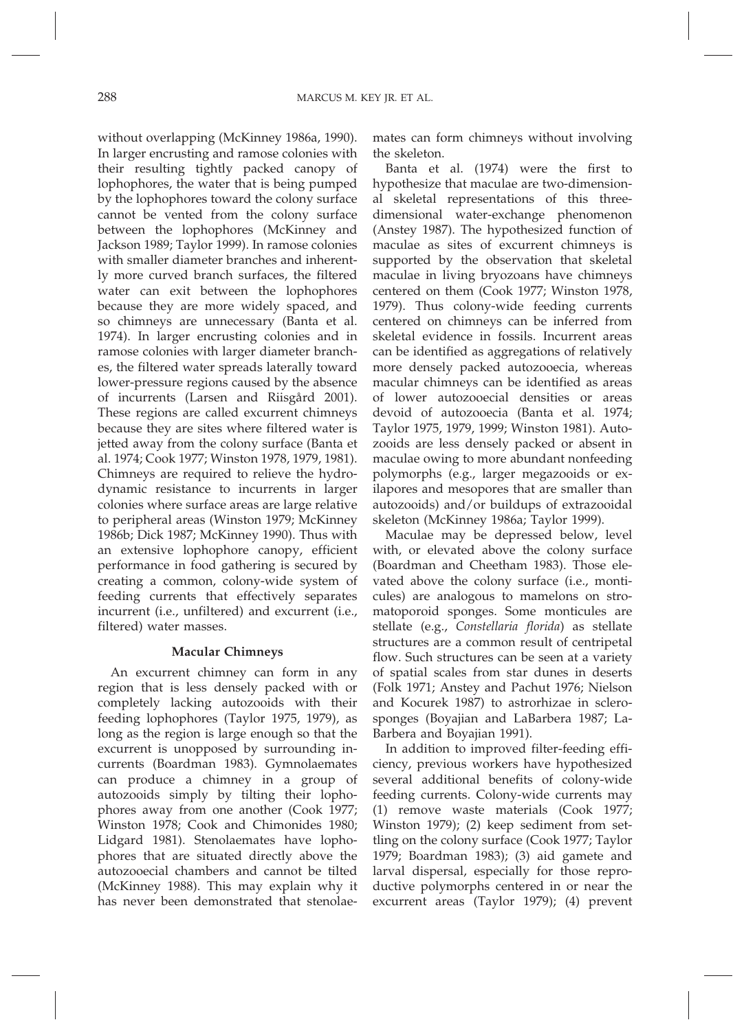without overlapping (McKinney 1986a, 1990). In larger encrusting and ramose colonies with their resulting tightly packed canopy of lophophores, the water that is being pumped by the lophophores toward the colony surface cannot be vented from the colony surface between the lophophores (McKinney and Jackson 1989; Taylor 1999). In ramose colonies with smaller diameter branches and inherently more curved branch surfaces, the filtered water can exit between the lophophores because they are more widely spaced, and so chimneys are unnecessary (Banta et al. 1974). In larger encrusting colonies and in ramose colonies with larger diameter branches, the filtered water spreads laterally toward lower-pressure regions caused by the absence of incurrents (Larsen and Riisgård 2001). These regions are called excurrent chimneys because they are sites where filtered water is jetted away from the colony surface (Banta et al. 1974; Cook 1977; Winston 1978, 1979, 1981). Chimneys are required to relieve the hydrodynamic resistance to incurrents in larger colonies where surface areas are large relative to peripheral areas (Winston 1979; McKinney 1986b; Dick 1987; McKinney 1990). Thus with an extensive lophophore canopy, efficient performance in food gathering is secured by creating a common, colony-wide system of feeding currents that effectively separates incurrent (i.e., unfiltered) and excurrent (i.e., filtered) water masses.

# Macular Chimneys

An excurrent chimney can form in any region that is less densely packed with or completely lacking autozooids with their feeding lophophores (Taylor 1975, 1979), as long as the region is large enough so that the excurrent is unopposed by surrounding incurrents (Boardman 1983). Gymnolaemates can produce a chimney in a group of autozooids simply by tilting their lophophores away from one another (Cook 1977; Winston 1978; Cook and Chimonides 1980; Lidgard 1981). Stenolaemates have lophophores that are situated directly above the autozooecial chambers and cannot be tilted (McKinney 1988). This may explain why it has never been demonstrated that stenolaemates can form chimneys without involving the skeleton.

Banta et al. (1974) were the first to hypothesize that maculae are two-dimensional skeletal representations of this threedimensional water-exchange phenomenon (Anstey 1987). The hypothesized function of maculae as sites of excurrent chimneys is supported by the observation that skeletal maculae in living bryozoans have chimneys centered on them (Cook 1977; Winston 1978, 1979). Thus colony-wide feeding currents centered on chimneys can be inferred from skeletal evidence in fossils. Incurrent areas can be identified as aggregations of relatively more densely packed autozooecia, whereas macular chimneys can be identified as areas of lower autozooecial densities or areas devoid of autozooecia (Banta et al. 1974; Taylor 1975, 1979, 1999; Winston 1981). Autozooids are less densely packed or absent in maculae owing to more abundant nonfeeding polymorphs (e.g., larger megazooids or exilapores and mesopores that are smaller than autozooids) and/or buildups of extrazooidal skeleton (McKinney 1986a; Taylor 1999).

Maculae may be depressed below, level with, or elevated above the colony surface (Boardman and Cheetham 1983). Those elevated above the colony surface (i.e., monticules) are analogous to mamelons on stromatoporoid sponges. Some monticules are stellate (e.g., Constellaria florida) as stellate structures are a common result of centripetal flow. Such structures can be seen at a variety of spatial scales from star dunes in deserts (Folk 1971; Anstey and Pachut 1976; Nielson and Kocurek 1987) to astrorhizae in sclerosponges (Boyajian and LaBarbera 1987; La-Barbera and Boyajian 1991).

In addition to improved filter-feeding efficiency, previous workers have hypothesized several additional benefits of colony-wide feeding currents. Colony-wide currents may (1) remove waste materials (Cook 1977; Winston 1979); (2) keep sediment from settling on the colony surface (Cook 1977; Taylor 1979; Boardman 1983); (3) aid gamete and larval dispersal, especially for those reproductive polymorphs centered in or near the excurrent areas (Taylor 1979); (4) prevent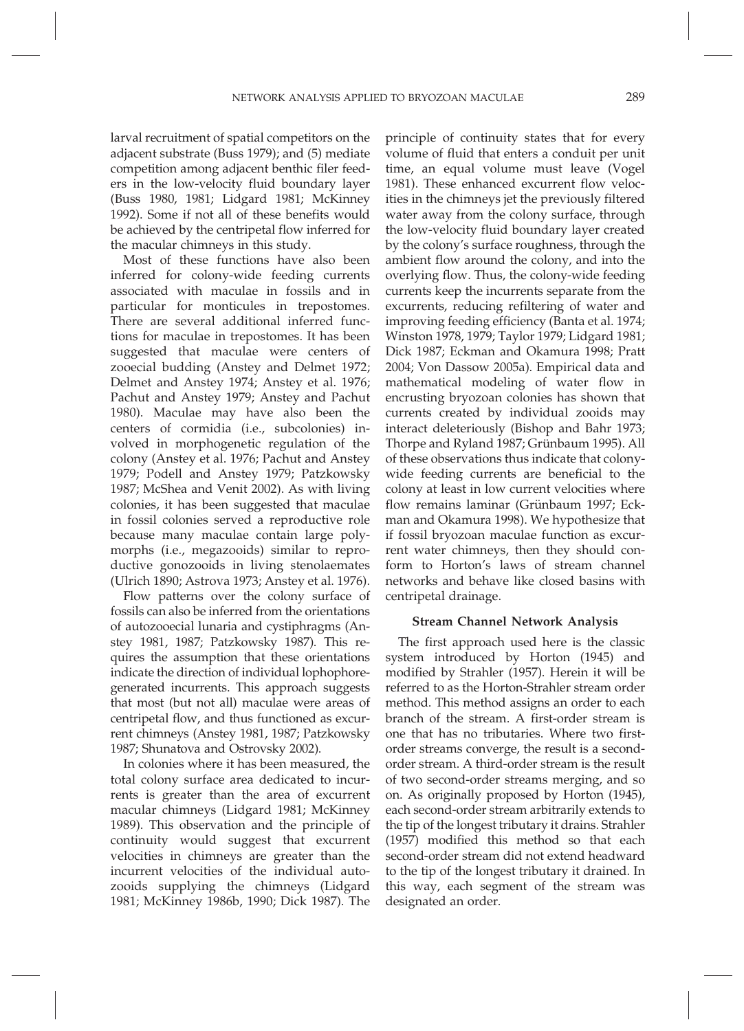larval recruitment of spatial competitors on the adjacent substrate (Buss 1979); and (5) mediate competition among adjacent benthic filer feeders in the low-velocity fluid boundary layer (Buss 1980, 1981; Lidgard 1981; McKinney 1992). Some if not all of these benefits would be achieved by the centripetal flow inferred for the macular chimneys in this study.

Most of these functions have also been inferred for colony-wide feeding currents associated with maculae in fossils and in particular for monticules in trepostomes. There are several additional inferred functions for maculae in trepostomes. It has been suggested that maculae were centers of zooecial budding (Anstey and Delmet 1972; Delmet and Anstey 1974; Anstey et al. 1976; Pachut and Anstey 1979; Anstey and Pachut 1980). Maculae may have also been the centers of cormidia (i.e., subcolonies) involved in morphogenetic regulation of the colony (Anstey et al. 1976; Pachut and Anstey 1979; Podell and Anstey 1979; Patzkowsky 1987; McShea and Venit 2002). As with living colonies, it has been suggested that maculae in fossil colonies served a reproductive role because many maculae contain large polymorphs (i.e., megazooids) similar to reproductive gonozooids in living stenolaemates (Ulrich 1890; Astrova 1973; Anstey et al. 1976).

Flow patterns over the colony surface of fossils can also be inferred from the orientations of autozooecial lunaria and cystiphragms (Anstey 1981, 1987; Patzkowsky 1987). This requires the assumption that these orientations indicate the direction of individual lophophoregenerated incurrents. This approach suggests that most (but not all) maculae were areas of centripetal flow, and thus functioned as excurrent chimneys (Anstey 1981, 1987; Patzkowsky 1987; Shunatova and Ostrovsky 2002).

In colonies where it has been measured, the total colony surface area dedicated to incurrents is greater than the area of excurrent macular chimneys (Lidgard 1981; McKinney 1989). This observation and the principle of continuity would suggest that excurrent velocities in chimneys are greater than the incurrent velocities of the individual autozooids supplying the chimneys (Lidgard 1981; McKinney 1986b, 1990; Dick 1987). The principle of continuity states that for every volume of fluid that enters a conduit per unit time, an equal volume must leave (Vogel 1981). These enhanced excurrent flow velocities in the chimneys jet the previously filtered water away from the colony surface, through the low-velocity fluid boundary layer created by the colony's surface roughness, through the ambient flow around the colony, and into the overlying flow. Thus, the colony-wide feeding currents keep the incurrents separate from the excurrents, reducing refiltering of water and improving feeding efficiency (Banta et al. 1974; Winston 1978, 1979; Taylor 1979; Lidgard 1981; Dick 1987; Eckman and Okamura 1998; Pratt 2004; Von Dassow 2005a). Empirical data and mathematical modeling of water flow in encrusting bryozoan colonies has shown that currents created by individual zooids may interact deleteriously (Bishop and Bahr 1973; Thorpe and Ryland 1987; Grünbaum 1995). All of these observations thus indicate that colonywide feeding currents are beneficial to the colony at least in low current velocities where flow remains laminar (Grünbaum 1997; Eckman and Okamura 1998). We hypothesize that if fossil bryozoan maculae function as excurrent water chimneys, then they should conform to Horton's laws of stream channel networks and behave like closed basins with centripetal drainage.

#### Stream Channel Network Analysis

The first approach used here is the classic system introduced by Horton (1945) and modified by Strahler (1957). Herein it will be referred to as the Horton-Strahler stream order method. This method assigns an order to each branch of the stream. A first-order stream is one that has no tributaries. Where two firstorder streams converge, the result is a secondorder stream. A third-order stream is the result of two second-order streams merging, and so on. As originally proposed by Horton (1945), each second-order stream arbitrarily extends to the tip of the longest tributary it drains. Strahler (1957) modified this method so that each second-order stream did not extend headward to the tip of the longest tributary it drained. In this way, each segment of the stream was designated an order.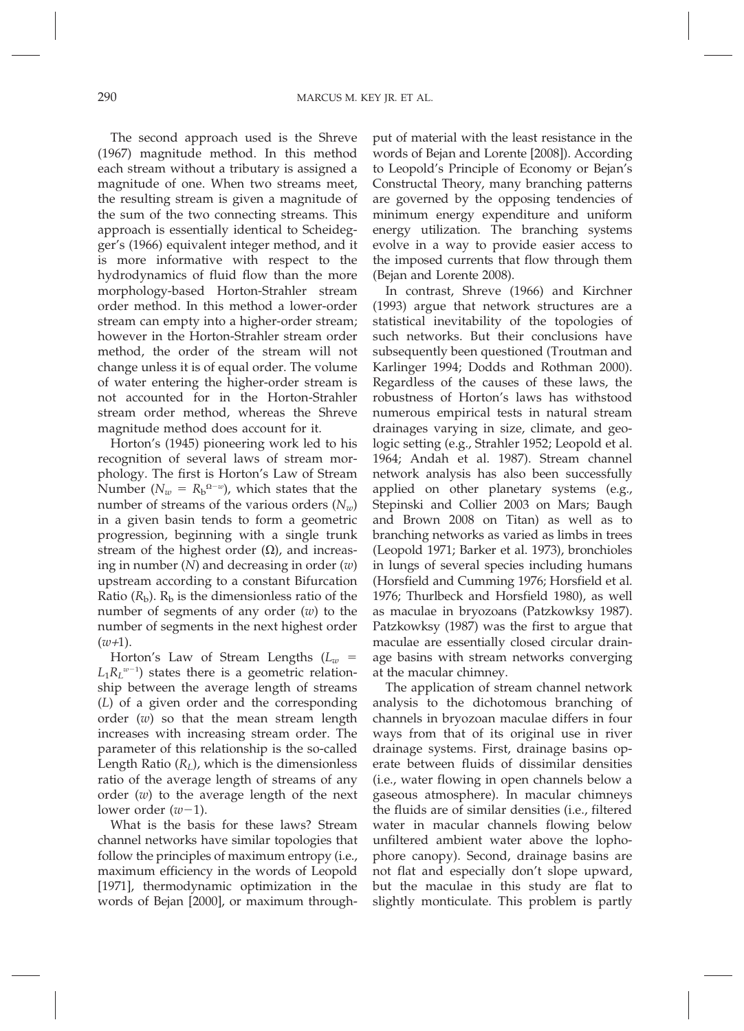The second approach used is the Shreve (1967) magnitude method. In this method each stream without a tributary is assigned a magnitude of one. When two streams meet, the resulting stream is given a magnitude of the sum of the two connecting streams. This approach is essentially identical to Scheidegger's (1966) equivalent integer method, and it is more informative with respect to the hydrodynamics of fluid flow than the more morphology-based Horton-Strahler stream order method. In this method a lower-order stream can empty into a higher-order stream; however in the Horton-Strahler stream order method, the order of the stream will not change unless it is of equal order. The volume of water entering the higher-order stream is not accounted for in the Horton-Strahler stream order method, whereas the Shreve magnitude method does account for it.

Horton's (1945) pioneering work led to his recognition of several laws of stream morphology. The first is Horton's Law of Stream Number ( $N_w = R_b^{\Omega - w}$ ), which states that the number of streams of the various orders  $(N_w)$ in a given basin tends to form a geometric progression, beginning with a single trunk stream of the highest order  $(\Omega)$ , and increasing in number  $(N)$  and decreasing in order  $(w)$ upstream according to a constant Bifurcation Ratio  $(R_b)$ .  $R_b$  is the dimensionless ratio of the number of segments of any order  $(w)$  to the number of segments in the next highest order  $(w+1)$ .

Horton's Law of Stream Lengths ( $L_w$  =  $L_1 R_L^{w-1}$ ) states there is a geometric relationship between the average length of streams (L) of a given order and the corresponding order  $(w)$  so that the mean stream length increases with increasing stream order. The parameter of this relationship is the so-called Length Ratio  $(R_L)$ , which is the dimensionless ratio of the average length of streams of any order  $(w)$  to the average length of the next lower order  $(w-1)$ .

What is the basis for these laws? Stream channel networks have similar topologies that follow the principles of maximum entropy (i.e., maximum efficiency in the words of Leopold [1971], thermodynamic optimization in the words of Bejan [2000], or maximum through-

put of material with the least resistance in the words of Bejan and Lorente [2008]). According to Leopold's Principle of Economy or Bejan's Constructal Theory, many branching patterns are governed by the opposing tendencies of minimum energy expenditure and uniform energy utilization. The branching systems evolve in a way to provide easier access to the imposed currents that flow through them (Bejan and Lorente 2008).

In contrast, Shreve (1966) and Kirchner (1993) argue that network structures are a statistical inevitability of the topologies of such networks. But their conclusions have subsequently been questioned (Troutman and Karlinger 1994; Dodds and Rothman 2000). Regardless of the causes of these laws, the robustness of Horton's laws has withstood numerous empirical tests in natural stream drainages varying in size, climate, and geologic setting (e.g., Strahler 1952; Leopold et al. 1964; Andah et al. 1987). Stream channel network analysis has also been successfully applied on other planetary systems (e.g., Stepinski and Collier 2003 on Mars; Baugh and Brown 2008 on Titan) as well as to branching networks as varied as limbs in trees (Leopold 1971; Barker et al. 1973), bronchioles in lungs of several species including humans (Horsfield and Cumming 1976; Horsfield et al. 1976; Thurlbeck and Horsfield 1980), as well as maculae in bryozoans (Patzkowksy 1987). Patzkowksy (1987) was the first to argue that maculae are essentially closed circular drainage basins with stream networks converging at the macular chimney.

The application of stream channel network analysis to the dichotomous branching of channels in bryozoan maculae differs in four ways from that of its original use in river drainage systems. First, drainage basins operate between fluids of dissimilar densities (i.e., water flowing in open channels below a gaseous atmosphere). In macular chimneys the fluids are of similar densities (i.e., filtered water in macular channels flowing below unfiltered ambient water above the lophophore canopy). Second, drainage basins are not flat and especially don't slope upward, but the maculae in this study are flat to slightly monticulate. This problem is partly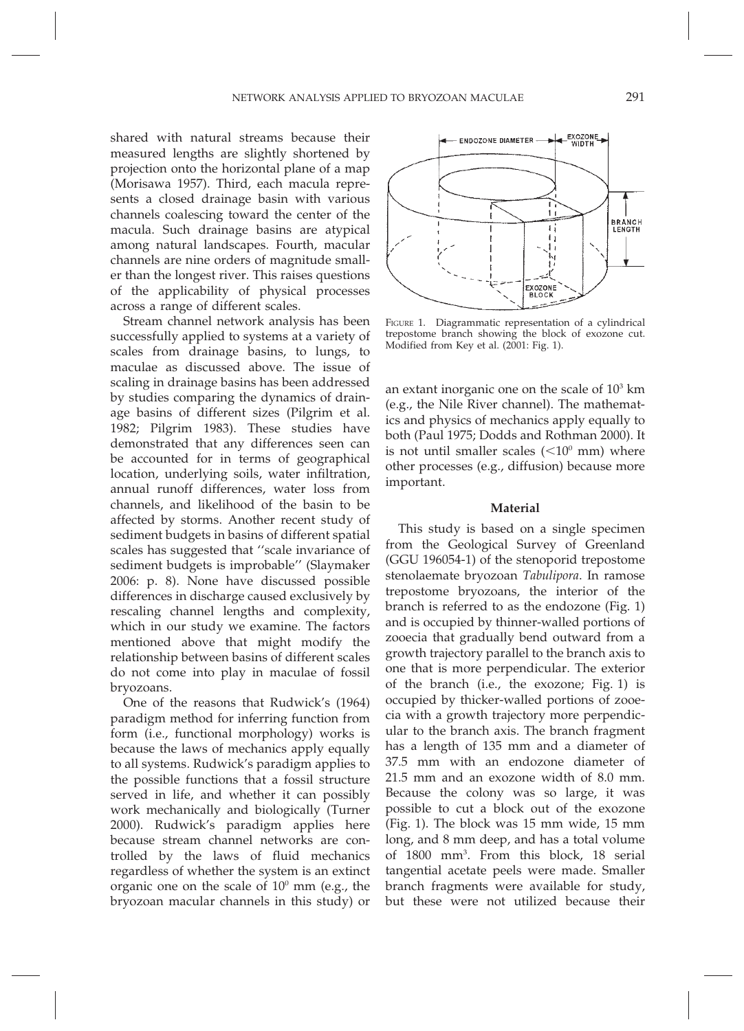shared with natural streams because their measured lengths are slightly shortened by projection onto the horizontal plane of a map (Morisawa 1957). Third, each macula represents a closed drainage basin with various channels coalescing toward the center of the macula. Such drainage basins are atypical among natural landscapes. Fourth, macular channels are nine orders of magnitude smaller than the longest river. This raises questions of the applicability of physical processes across a range of different scales.

Stream channel network analysis has been successfully applied to systems at a variety of scales from drainage basins, to lungs, to maculae as discussed above. The issue of scaling in drainage basins has been addressed by studies comparing the dynamics of drainage basins of different sizes (Pilgrim et al. 1982; Pilgrim 1983). These studies have demonstrated that any differences seen can be accounted for in terms of geographical location, underlying soils, water infiltration, annual runoff differences, water loss from channels, and likelihood of the basin to be affected by storms. Another recent study of sediment budgets in basins of different spatial scales has suggested that ''scale invariance of sediment budgets is improbable'' (Slaymaker 2006: p. 8). None have discussed possible differences in discharge caused exclusively by rescaling channel lengths and complexity, which in our study we examine. The factors mentioned above that might modify the relationship between basins of different scales do not come into play in maculae of fossil bryozoans.

One of the reasons that Rudwick's (1964) paradigm method for inferring function from form (i.e., functional morphology) works is because the laws of mechanics apply equally to all systems. Rudwick's paradigm applies to the possible functions that a fossil structure served in life, and whether it can possibly work mechanically and biologically (Turner 2000). Rudwick's paradigm applies here because stream channel networks are controlled by the laws of fluid mechanics regardless of whether the system is an extinct organic one on the scale of  $10^{\circ}$  mm (e.g., the bryozoan macular channels in this study) or



FIGURE 1. Diagrammatic representation of a cylindrical trepostome branch showing the block of exozone cut. Modified from Key et al. (2001: Fig. 1).

an extant inorganic one on the scale of  $10<sup>3</sup>$  km (e.g., the Nile River channel). The mathematics and physics of mechanics apply equally to both (Paul 1975; Dodds and Rothman 2000). It is not until smaller scales  $(<10<sup>o</sup>$  mm) where other processes (e.g., diffusion) because more important.

#### Material

This study is based on a single specimen from the Geological Survey of Greenland (GGU 196054-1) of the stenoporid trepostome stenolaemate bryozoan Tabulipora. In ramose trepostome bryozoans, the interior of the branch is referred to as the endozone (Fig. 1) and is occupied by thinner-walled portions of zooecia that gradually bend outward from a growth trajectory parallel to the branch axis to one that is more perpendicular. The exterior of the branch (i.e., the exozone; Fig. 1) is occupied by thicker-walled portions of zooecia with a growth trajectory more perpendicular to the branch axis. The branch fragment has a length of 135 mm and a diameter of 37.5 mm with an endozone diameter of 21.5 mm and an exozone width of 8.0 mm. Because the colony was so large, it was possible to cut a block out of the exozone (Fig. 1). The block was 15 mm wide, 15 mm long, and 8 mm deep, and has a total volume of 1800 mm3 . From this block, 18 serial tangential acetate peels were made. Smaller branch fragments were available for study, but these were not utilized because their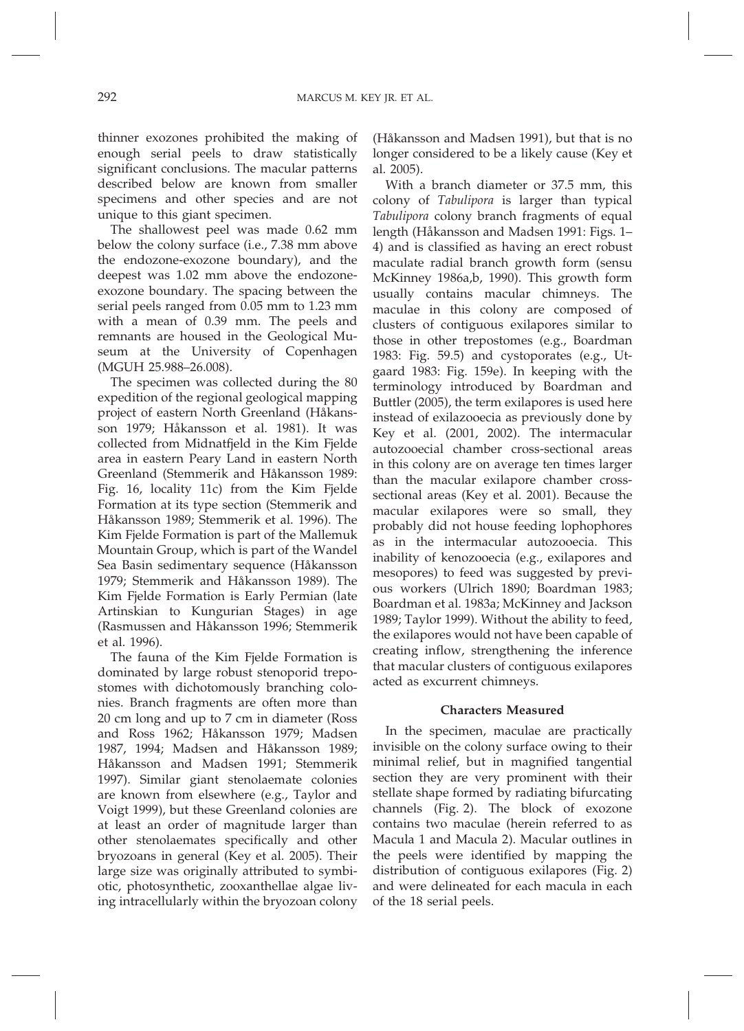thinner exozones prohibited the making of enough serial peels to draw statistically significant conclusions. The macular patterns described below are known from smaller specimens and other species and are not unique to this giant specimen.

The shallowest peel was made 0.62 mm below the colony surface (i.e., 7.38 mm above the endozone-exozone boundary), and the deepest was 1.02 mm above the endozoneexozone boundary. The spacing between the serial peels ranged from 0.05 mm to 1.23 mm with a mean of 0.39 mm. The peels and remnants are housed in the Geological Museum at the University of Copenhagen (MGUH 25.988–26.008).

The specimen was collected during the 80 expedition of the regional geological mapping project of eastern North Greenland (Håkansson 1979; Håkansson et al. 1981). It was collected from Midnatfjeld in the Kim Fjelde area in eastern Peary Land in eastern North Greenland (Stemmerik and Håkansson 1989: Fig. 16, locality 11c) from the Kim Fjelde Formation at its type section (Stemmerik and Håkansson 1989; Stemmerik et al. 1996). The Kim Fjelde Formation is part of the Mallemuk Mountain Group, which is part of the Wandel Sea Basin sedimentary sequence (Håkansson 1979; Stemmerik and Håkansson 1989). The Kim Fjelde Formation is Early Permian (late Artinskian to Kungurian Stages) in age (Rasmussen and Håkansson 1996; Stemmerik et al. 1996).

The fauna of the Kim Fjelde Formation is dominated by large robust stenoporid trepostomes with dichotomously branching colonies. Branch fragments are often more than 20 cm long and up to 7 cm in diameter (Ross and Ross 1962; Håkansson 1979; Madsen 1987, 1994; Madsen and Håkansson 1989; Håkansson and Madsen 1991; Stemmerik 1997). Similar giant stenolaemate colonies are known from elsewhere (e.g., Taylor and Voigt 1999), but these Greenland colonies are at least an order of magnitude larger than other stenolaemates specifically and other bryozoans in general (Key et al. 2005). Their large size was originally attributed to symbiotic, photosynthetic, zooxanthellae algae living intracellularly within the bryozoan colony (Håkansson and Madsen 1991), but that is no longer considered to be a likely cause (Key et al. 2005).

With a branch diameter or 37.5 mm, this colony of Tabulipora is larger than typical Tabulipora colony branch fragments of equal length (Håkansson and Madsen 1991: Figs. 1– 4) and is classified as having an erect robust maculate radial branch growth form (sensu McKinney 1986a,b, 1990). This growth form usually contains macular chimneys. The maculae in this colony are composed of clusters of contiguous exilapores similar to those in other trepostomes (e.g., Boardman 1983: Fig. 59.5) and cystoporates (e.g., Utgaard 1983: Fig. 159e). In keeping with the terminology introduced by Boardman and Buttler (2005), the term exilapores is used here instead of exilazooecia as previously done by Key et al. (2001, 2002). The intermacular autozooecial chamber cross-sectional areas in this colony are on average ten times larger than the macular exilapore chamber crosssectional areas (Key et al. 2001). Because the macular exilapores were so small, they probably did not house feeding lophophores as in the intermacular autozooecia. This inability of kenozooecia (e.g., exilapores and mesopores) to feed was suggested by previous workers (Ulrich 1890; Boardman 1983; Boardman et al. 1983a; McKinney and Jackson 1989; Taylor 1999). Without the ability to feed, the exilapores would not have been capable of creating inflow, strengthening the inference that macular clusters of contiguous exilapores acted as excurrent chimneys.

# Characters Measured

In the specimen, maculae are practically invisible on the colony surface owing to their minimal relief, but in magnified tangential section they are very prominent with their stellate shape formed by radiating bifurcating channels (Fig. 2). The block of exozone contains two maculae (herein referred to as Macula 1 and Macula 2). Macular outlines in the peels were identified by mapping the distribution of contiguous exilapores (Fig. 2) and were delineated for each macula in each of the 18 serial peels.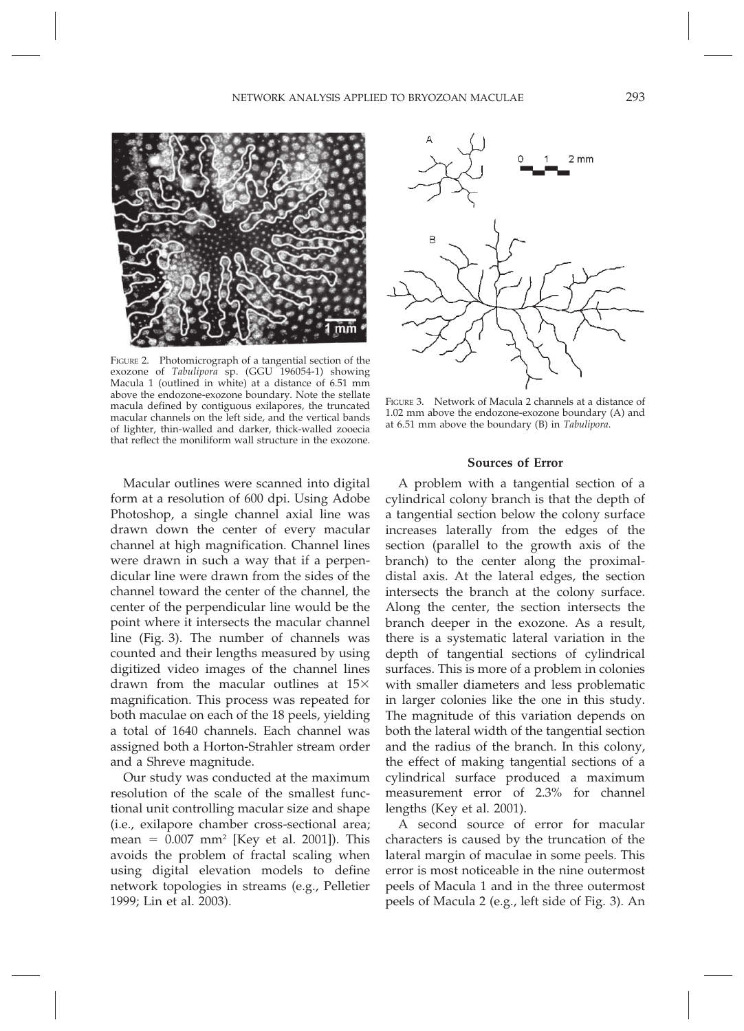

FIGURE 2. Photomicrograph of a tangential section of the exozone of Tabulipora sp. (GGU 196054-1) showing Macula 1 (outlined in white) at a distance of 6.51 mm above the endozone-exozone boundary. Note the stellate macula defined by contiguous exilapores, the truncated macular channels on the left side, and the vertical bands of lighter, thin-walled and darker, thick-walled zooecia that reflect the moniliform wall structure in the exozone.

Macular outlines were scanned into digital form at a resolution of 600 dpi. Using Adobe Photoshop, a single channel axial line was drawn down the center of every macular channel at high magnification. Channel lines were drawn in such a way that if a perpendicular line were drawn from the sides of the channel toward the center of the channel, the center of the perpendicular line would be the point where it intersects the macular channel line (Fig. 3). The number of channels was counted and their lengths measured by using digitized video images of the channel lines drawn from the macular outlines at  $15\times$ magnification. This process was repeated for both maculae on each of the 18 peels, yielding a total of 1640 channels. Each channel was assigned both a Horton-Strahler stream order and a Shreve magnitude.

Our study was conducted at the maximum resolution of the scale of the smallest functional unit controlling macular size and shape (i.e., exilapore chamber cross-sectional area; mean =  $0.007$  mm<sup>2</sup> [Key et al. 2001]). This avoids the problem of fractal scaling when using digital elevation models to define network topologies in streams (e.g., Pelletier 1999; Lin et al. 2003).



FIGURE 3. Network of Macula 2 channels at a distance of 1.02 mm above the endozone-exozone boundary (A) and at 6.51 mm above the boundary (B) in Tabulipora.

#### Sources of Error

A problem with a tangential section of a cylindrical colony branch is that the depth of a tangential section below the colony surface increases laterally from the edges of the section (parallel to the growth axis of the branch) to the center along the proximaldistal axis. At the lateral edges, the section intersects the branch at the colony surface. Along the center, the section intersects the branch deeper in the exozone. As a result, there is a systematic lateral variation in the depth of tangential sections of cylindrical surfaces. This is more of a problem in colonies with smaller diameters and less problematic in larger colonies like the one in this study. The magnitude of this variation depends on both the lateral width of the tangential section and the radius of the branch. In this colony, the effect of making tangential sections of a cylindrical surface produced a maximum measurement error of 2.3% for channel lengths (Key et al. 2001).

A second source of error for macular characters is caused by the truncation of the lateral margin of maculae in some peels. This error is most noticeable in the nine outermost peels of Macula 1 and in the three outermost peels of Macula 2 (e.g., left side of Fig. 3). An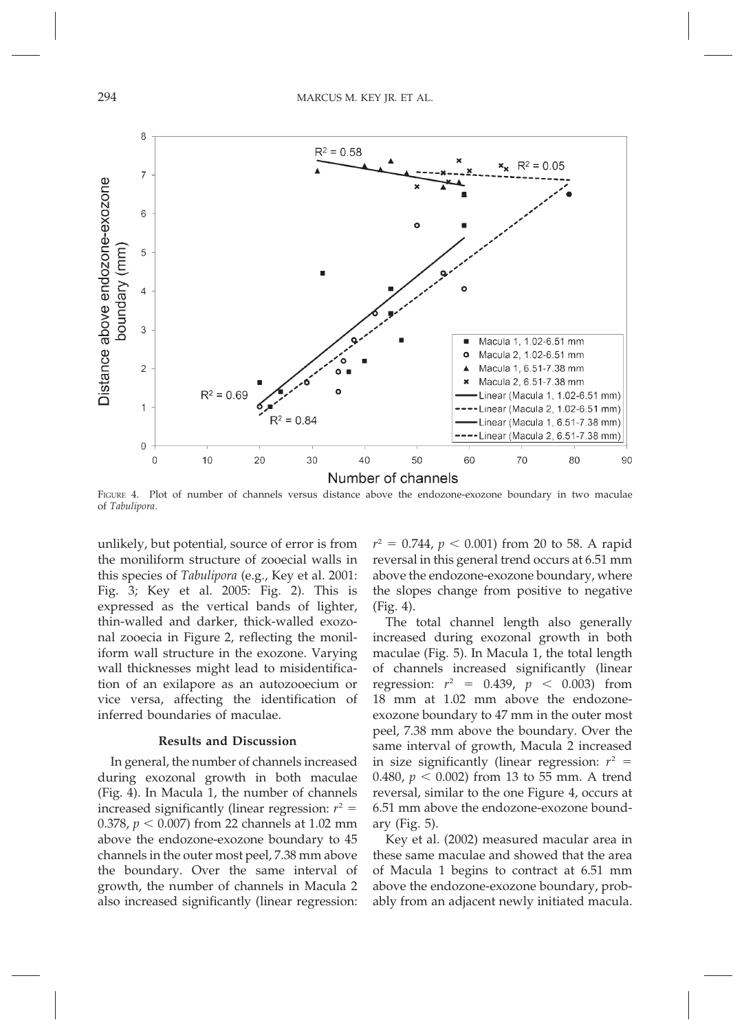

FIGURE 4. Plot of number of channels versus distance above the endozone-exozone boundary in two maculae of Tabulipora.

unlikely, but potential, source of error is from the moniliform structure of zooecial walls in this species of Tabulipora (e.g., Key et al. 2001: Fig. 3; Key et al. 2005: Fig. 2). This is expressed as the vertical bands of lighter, thin-walled and darker, thick-walled exozonal zooecia in Figure 2, reflecting the moniliform wall structure in the exozone. Varying wall thicknesses might lead to misidentification of an exilapore as an autozooecium or vice versa, affecting the identification of inferred boundaries of maculae.

## Results and Discussion

In general, the number of channels increased during exozonal growth in both maculae (Fig. 4). In Macula 1, the number of channels increased significantly (linear regression:  $r^2$  = 0.378,  $p < 0.007$ ) from 22 channels at 1.02 mm above the endozone-exozone boundary to 45 channels in the outer most peel, 7.38 mm above the boundary. Over the same interval of growth, the number of channels in Macula 2 also increased significantly (linear regression:  $r^2 = 0.744$ ,  $p < 0.001$ ) from 20 to 58. A rapid reversal in this general trend occurs at 6.51 mm above the endozone-exozone boundary, where the slopes change from positive to negative (Fig. 4).

The total channel length also generally increased during exozonal growth in both maculae (Fig. 5). In Macula 1, the total length of channels increased significantly (linear regression:  $r^2 = 0.439$ ,  $p < 0.003$ ) from 18 mm at 1.02 mm above the endozoneexozone boundary to 47 mm in the outer most peel, 7.38 mm above the boundary. Over the same interval of growth, Macula 2 increased in size significantly (linear regression:  $r^2$  = 0.480,  $p < 0.002$ ) from 13 to 55 mm. A trend reversal, similar to the one Figure 4, occurs at 6.51 mm above the endozone-exozone boundary (Fig. 5).

Key et al. (2002) measured macular area in these same maculae and showed that the area of Macula 1 begins to contract at 6.51 mm above the endozone-exozone boundary, probably from an adjacent newly initiated macula.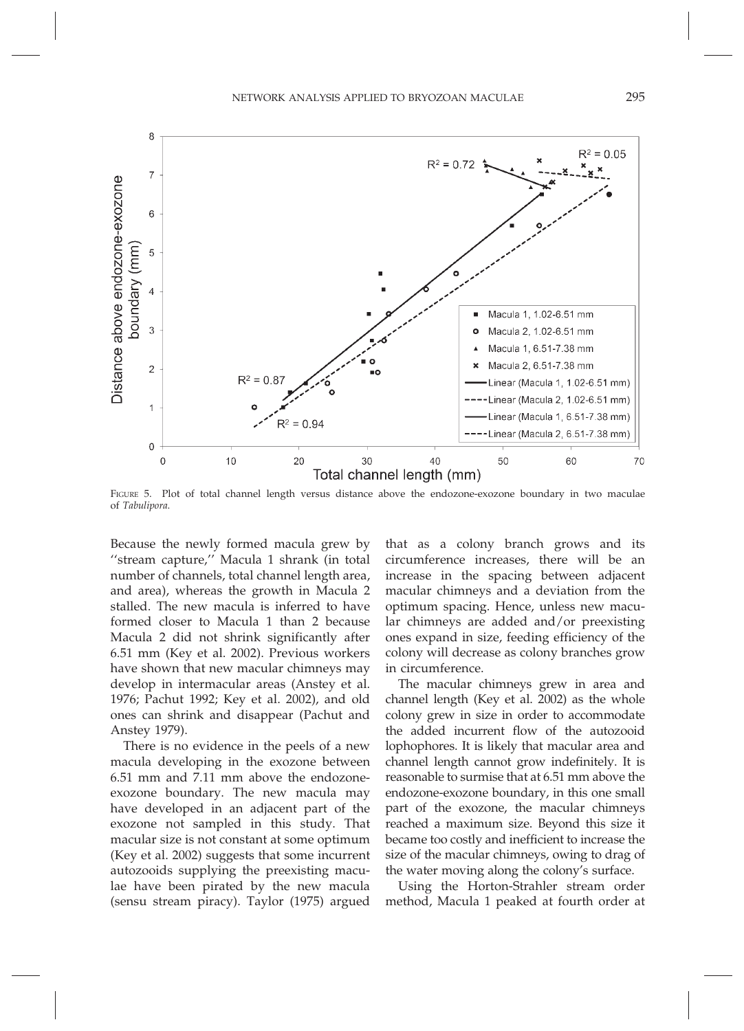

FIGURE 5. Plot of total channel length versus distance above the endozone-exozone boundary in two maculae of Tabulipora.

Because the newly formed macula grew by ''stream capture,'' Macula 1 shrank (in total number of channels, total channel length area, and area), whereas the growth in Macula 2 stalled. The new macula is inferred to have formed closer to Macula 1 than 2 because Macula 2 did not shrink significantly after 6.51 mm (Key et al. 2002). Previous workers have shown that new macular chimneys may develop in intermacular areas (Anstey et al. 1976; Pachut 1992; Key et al. 2002), and old ones can shrink and disappear (Pachut and Anstey 1979).

There is no evidence in the peels of a new macula developing in the exozone between 6.51 mm and 7.11 mm above the endozoneexozone boundary. The new macula may have developed in an adjacent part of the exozone not sampled in this study. That macular size is not constant at some optimum (Key et al. 2002) suggests that some incurrent autozooids supplying the preexisting maculae have been pirated by the new macula (sensu stream piracy). Taylor (1975) argued that as a colony branch grows and its circumference increases, there will be an increase in the spacing between adjacent macular chimneys and a deviation from the optimum spacing. Hence, unless new macular chimneys are added and/or preexisting ones expand in size, feeding efficiency of the colony will decrease as colony branches grow in circumference.

The macular chimneys grew in area and channel length (Key et al. 2002) as the whole colony grew in size in order to accommodate the added incurrent flow of the autozooid lophophores. It is likely that macular area and channel length cannot grow indefinitely. It is reasonable to surmise that at 6.51 mm above the endozone-exozone boundary, in this one small part of the exozone, the macular chimneys reached a maximum size. Beyond this size it became too costly and inefficient to increase the size of the macular chimneys, owing to drag of the water moving along the colony's surface.

Using the Horton-Strahler stream order method, Macula 1 peaked at fourth order at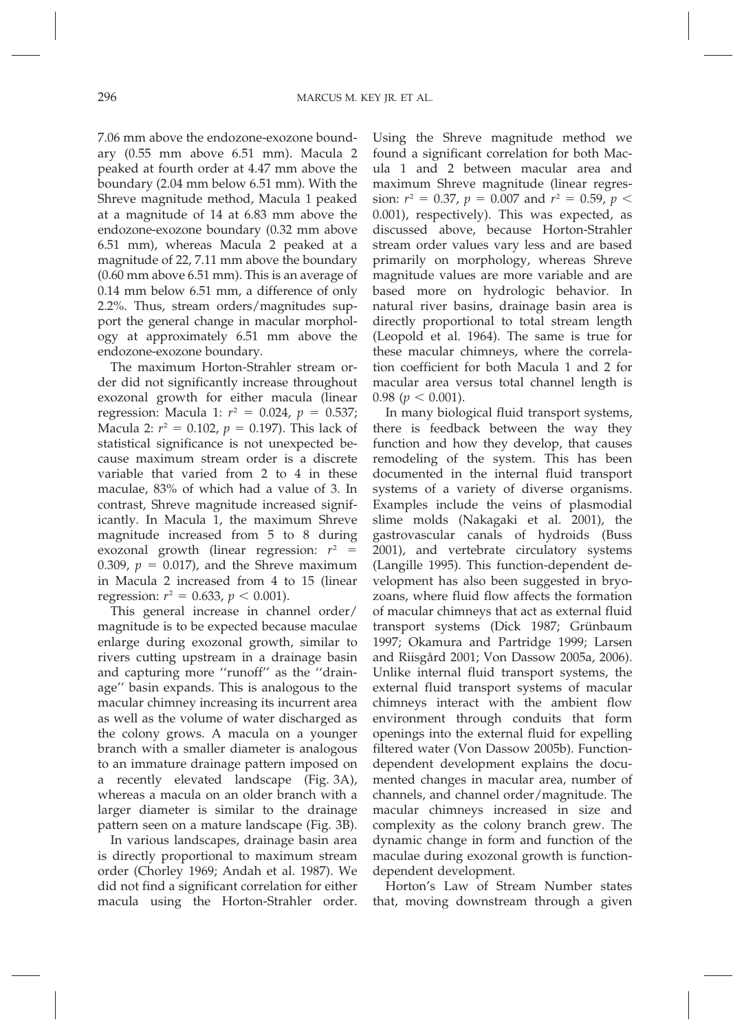7.06 mm above the endozone-exozone boundary (0.55 mm above 6.51 mm). Macula 2 peaked at fourth order at 4.47 mm above the boundary (2.04 mm below 6.51 mm). With the Shreve magnitude method, Macula 1 peaked at a magnitude of 14 at 6.83 mm above the endozone-exozone boundary (0.32 mm above 6.51 mm), whereas Macula 2 peaked at a magnitude of 22, 7.11 mm above the boundary (0.60 mm above 6.51 mm). This is an average of 0.14 mm below 6.51 mm, a difference of only 2.2%. Thus, stream orders/magnitudes support the general change in macular morphology at approximately 6.51 mm above the endozone-exozone boundary.

The maximum Horton-Strahler stream order did not significantly increase throughout exozonal growth for either macula (linear regression: Macula 1:  $r^2 = 0.024$ ,  $p = 0.537$ ; Macula 2:  $r^2 = 0.102$ ,  $p = 0.197$ ). This lack of statistical significance is not unexpected because maximum stream order is a discrete variable that varied from 2 to 4 in these maculae, 83% of which had a value of 3. In contrast, Shreve magnitude increased significantly. In Macula 1, the maximum Shreve magnitude increased from 5 to 8 during exozonal growth (linear regression:  $r^2$  = 0.309,  $p = 0.017$ ), and the Shreve maximum in Macula 2 increased from 4 to 15 (linear regression:  $r^2 = 0.633$ ,  $p < 0.001$ ).

This general increase in channel order/ magnitude is to be expected because maculae enlarge during exozonal growth, similar to rivers cutting upstream in a drainage basin and capturing more ''runoff'' as the ''drainage'' basin expands. This is analogous to the macular chimney increasing its incurrent area as well as the volume of water discharged as the colony grows. A macula on a younger branch with a smaller diameter is analogous to an immature drainage pattern imposed on a recently elevated landscape (Fig. 3A), whereas a macula on an older branch with a larger diameter is similar to the drainage pattern seen on a mature landscape (Fig. 3B).

In various landscapes, drainage basin area is directly proportional to maximum stream order (Chorley 1969; Andah et al. 1987). We did not find a significant correlation for either macula using the Horton-Strahler order.

Using the Shreve magnitude method we found a significant correlation for both Macula 1 and 2 between macular area and maximum Shreve magnitude (linear regression:  $r^2 = 0.37$ ,  $p = 0.007$  and  $r^2 = 0.59$ ,  $p <$ 0.001), respectively). This was expected, as discussed above, because Horton-Strahler stream order values vary less and are based primarily on morphology, whereas Shreve magnitude values are more variable and are based more on hydrologic behavior. In natural river basins, drainage basin area is directly proportional to total stream length (Leopold et al. 1964). The same is true for these macular chimneys, where the correlation coefficient for both Macula 1 and 2 for macular area versus total channel length is 0.98 ( $p < 0.001$ ).

In many biological fluid transport systems, there is feedback between the way they function and how they develop, that causes remodeling of the system. This has been documented in the internal fluid transport systems of a variety of diverse organisms. Examples include the veins of plasmodial slime molds (Nakagaki et al. 2001), the gastrovascular canals of hydroids (Buss 2001), and vertebrate circulatory systems (Langille 1995). This function-dependent development has also been suggested in bryozoans, where fluid flow affects the formation of macular chimneys that act as external fluid transport systems (Dick 1987; Grünbaum 1997; Okamura and Partridge 1999; Larsen and Riisgård 2001; Von Dassow 2005a, 2006). Unlike internal fluid transport systems, the external fluid transport systems of macular chimneys interact with the ambient flow environment through conduits that form openings into the external fluid for expelling filtered water (Von Dassow 2005b). Functiondependent development explains the documented changes in macular area, number of channels, and channel order/magnitude. The macular chimneys increased in size and complexity as the colony branch grew. The dynamic change in form and function of the maculae during exozonal growth is functiondependent development.

Horton's Law of Stream Number states that, moving downstream through a given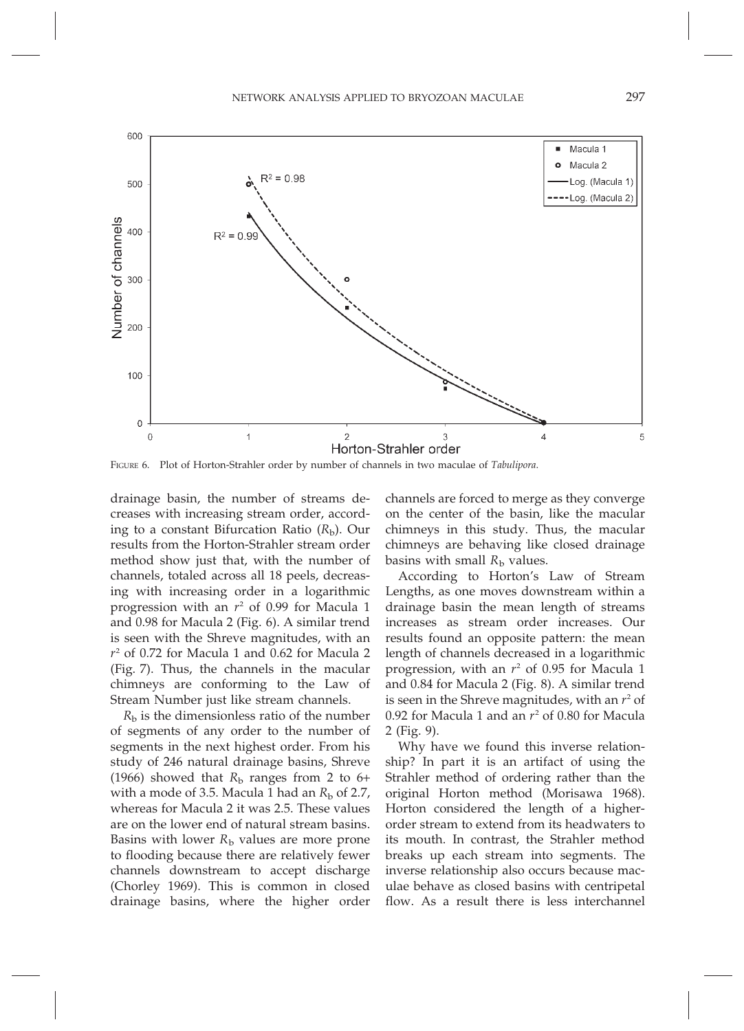



FIGURE 6. Plot of Horton-Strahler order by number of channels in two maculae of Tabulipora.

drainage basin, the number of streams decreases with increasing stream order, according to a constant Bifurcation Ratio  $(R_b)$ . Our results from the Horton-Strahler stream order method show just that, with the number of channels, totaled across all 18 peels, decreasing with increasing order in a logarithmic progression with an  $r^2$  of 0.99 for Macula 1 and 0.98 for Macula 2 (Fig. 6). A similar trend is seen with the Shreve magnitudes, with an  $r<sup>2</sup>$  of 0.72 for Macula 1 and 0.62 for Macula 2 (Fig. 7). Thus, the channels in the macular chimneys are conforming to the Law of Stream Number just like stream channels.

 $R<sub>b</sub>$  is the dimensionless ratio of the number of segments of any order to the number of segments in the next highest order. From his study of 246 natural drainage basins, Shreve (1966) showed that  $R<sub>b</sub>$  ranges from 2 to 6+ with a mode of 3.5. Macula 1 had an  $R<sub>b</sub>$  of 2.7, whereas for Macula 2 it was 2.5. These values are on the lower end of natural stream basins. Basins with lower  $R<sub>b</sub>$  values are more prone to flooding because there are relatively fewer channels downstream to accept discharge (Chorley 1969). This is common in closed drainage basins, where the higher order channels are forced to merge as they converge on the center of the basin, like the macular chimneys in this study. Thus, the macular chimneys are behaving like closed drainage basins with small  $R<sub>b</sub>$  values.

According to Horton's Law of Stream Lengths, as one moves downstream within a drainage basin the mean length of streams increases as stream order increases. Our results found an opposite pattern: the mean length of channels decreased in a logarithmic progression, with an  $r^2$  of 0.95 for Macula 1 and 0.84 for Macula 2 (Fig. 8). A similar trend is seen in the Shreve magnitudes, with an  $r^2$  of 0.92 for Macula 1 and an  $r^2$  of 0.80 for Macula 2 (Fig. 9).

Why have we found this inverse relationship? In part it is an artifact of using the Strahler method of ordering rather than the original Horton method (Morisawa 1968). Horton considered the length of a higherorder stream to extend from its headwaters to its mouth. In contrast, the Strahler method breaks up each stream into segments. The inverse relationship also occurs because maculae behave as closed basins with centripetal flow. As a result there is less interchannel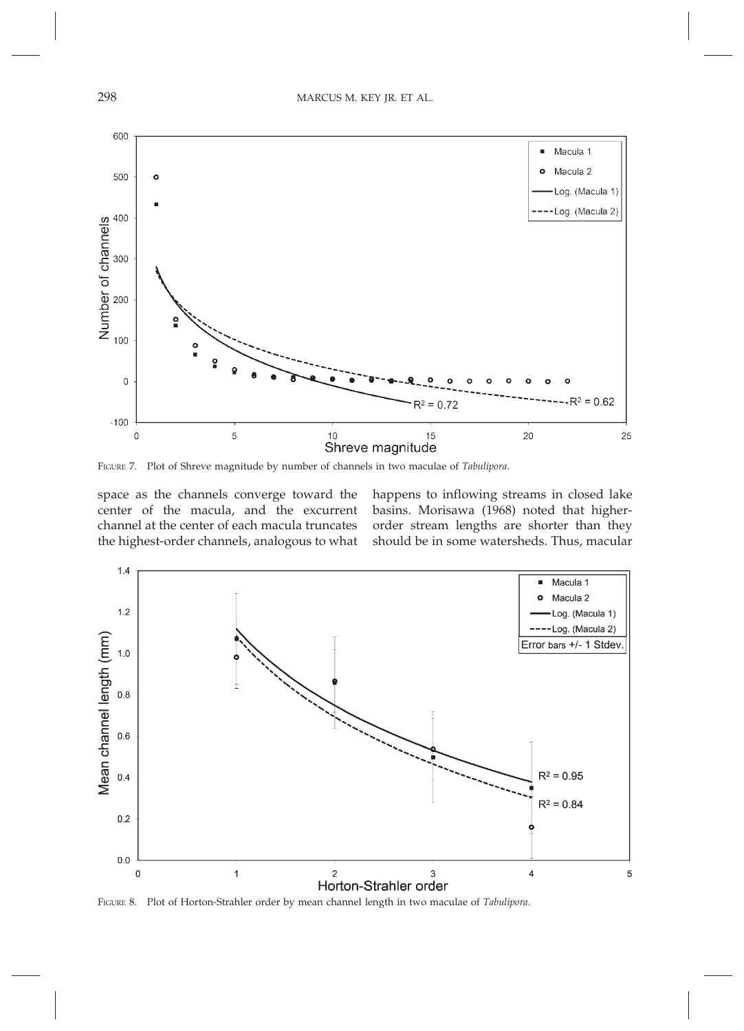

FIGURE 7. Plot of Shreve magnitude by number of channels in two maculae of Tabulipora.

space as the channels converge toward the center of the macula, and the excurrent channel at the center of each macula truncates the highest-order channels, analogous to what

happens to inflowing streams in closed lake basins. Morisawa (1968) noted that higherorder stream lengths are shorter than they should be in some watersheds. Thus, macular



FIGURE 8. Plot of Horton-Strahler order by mean channel length in two maculae of Tabulipora.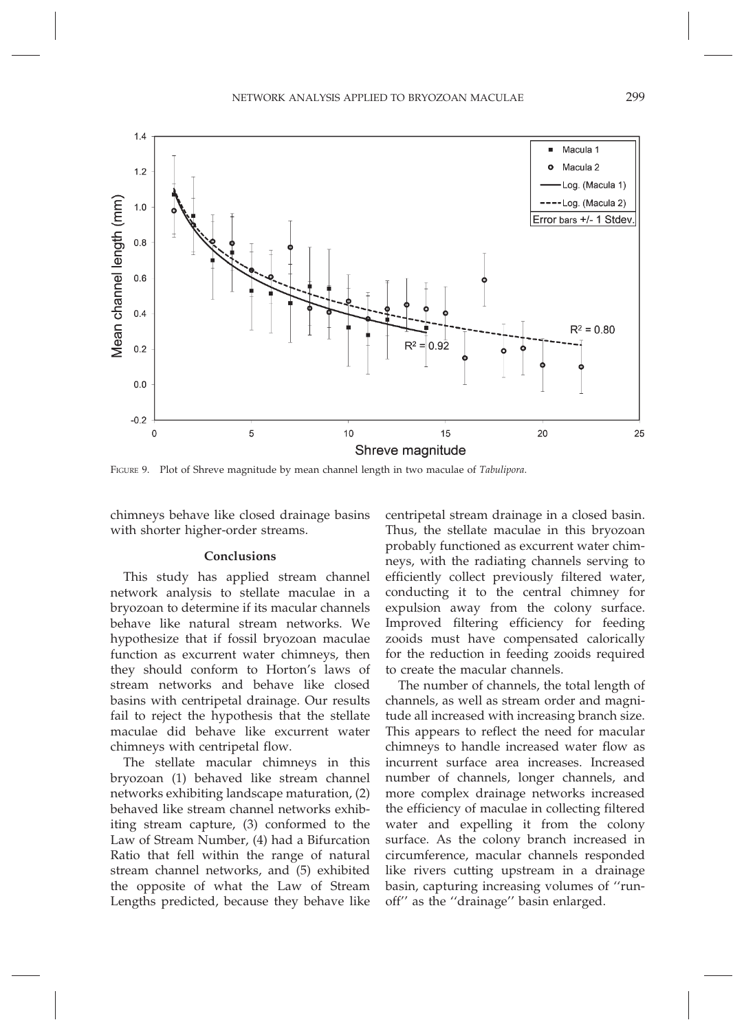



FIGURE 9. Plot of Shreve magnitude by mean channel length in two maculae of Tabulipora.

chimneys behave like closed drainage basins with shorter higher-order streams.

 $1.4$ 

### Conclusions

This study has applied stream channel network analysis to stellate maculae in a bryozoan to determine if its macular channels behave like natural stream networks. We hypothesize that if fossil bryozoan maculae function as excurrent water chimneys, then they should conform to Horton's laws of stream networks and behave like closed basins with centripetal drainage. Our results fail to reject the hypothesis that the stellate maculae did behave like excurrent water chimneys with centripetal flow.

The stellate macular chimneys in this bryozoan (1) behaved like stream channel networks exhibiting landscape maturation, (2) behaved like stream channel networks exhibiting stream capture, (3) conformed to the Law of Stream Number, (4) had a Bifurcation Ratio that fell within the range of natural stream channel networks, and (5) exhibited the opposite of what the Law of Stream Lengths predicted, because they behave like

centripetal stream drainage in a closed basin. Thus, the stellate maculae in this bryozoan probably functioned as excurrent water chimneys, with the radiating channels serving to efficiently collect previously filtered water, conducting it to the central chimney for expulsion away from the colony surface. Improved filtering efficiency for feeding zooids must have compensated calorically for the reduction in feeding zooids required to create the macular channels.

The number of channels, the total length of channels, as well as stream order and magnitude all increased with increasing branch size. This appears to reflect the need for macular chimneys to handle increased water flow as incurrent surface area increases. Increased number of channels, longer channels, and more complex drainage networks increased the efficiency of maculae in collecting filtered water and expelling it from the colony surface. As the colony branch increased in circumference, macular channels responded like rivers cutting upstream in a drainage basin, capturing increasing volumes of ''runoff'' as the ''drainage'' basin enlarged.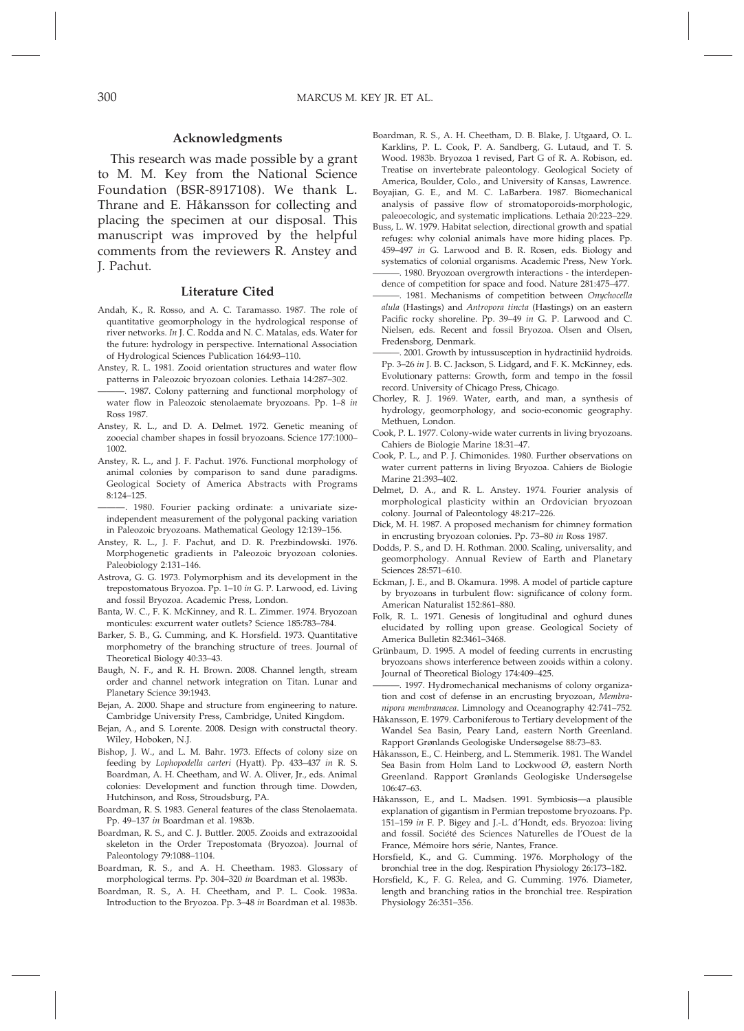### Acknowledgments

This research was made possible by a grant to M. M. Key from the National Science Foundation (BSR-8917108). We thank L. Thrane and E. Håkansson for collecting and placing the specimen at our disposal. This manuscript was improved by the helpful comments from the reviewers R. Anstey and J. Pachut.

### Literature Cited

- Andah, K., R. Rosso, and A. C. Taramasso. 1987. The role of quantitative geomorphology in the hydrological response of river networks. In J. C. Rodda and N. C. Matalas, eds. Water for the future: hydrology in perspective. International Association of Hydrological Sciences Publication 164:93–110.
- Anstey, R. L. 1981. Zooid orientation structures and water flow patterns in Paleozoic bryozoan colonies. Lethaia 14:287–302.
- ———. 1987. Colony patterning and functional morphology of water flow in Paleozoic stenolaemate bryozoans. Pp. 1–8 in Ross 1987.
- Anstey, R. L., and D. A. Delmet. 1972. Genetic meaning of zooecial chamber shapes in fossil bryozoans. Science 177:1000– 1002.
- Anstey, R. L., and J. F. Pachut. 1976. Functional morphology of animal colonies by comparison to sand dune paradigms. Geological Society of America Abstracts with Programs 8:124–125.
- ———. 1980. Fourier packing ordinate: a univariate sizeindependent measurement of the polygonal packing variation in Paleozoic bryozoans. Mathematical Geology 12:139–156.
- Anstey, R. L., J. F. Pachut, and D. R. Prezbindowski. 1976. Morphogenetic gradients in Paleozoic bryozoan colonies. Paleobiology 2:131–146.
- Astrova, G. G. 1973. Polymorphism and its development in the trepostomatous Bryozoa. Pp. 1–10 in G. P. Larwood, ed. Living and fossil Bryozoa. Academic Press, London.
- Banta, W. C., F. K. McKinney, and R. L. Zimmer. 1974. Bryozoan monticules: excurrent water outlets? Science 185:783–784.
- Barker, S. B., G. Cumming, and K. Horsfield. 1973. Quantitative morphometry of the branching structure of trees. Journal of Theoretical Biology 40:33–43.
- Baugh, N. F., and R. H. Brown. 2008. Channel length, stream order and channel network integration on Titan. Lunar and Planetary Science 39:1943.
- Bejan, A. 2000. Shape and structure from engineering to nature. Cambridge University Press, Cambridge, United Kingdom.
- Bejan, A., and S. Lorente. 2008. Design with constructal theory. Wiley, Hoboken, N.J.
- Bishop, J. W., and L. M. Bahr. 1973. Effects of colony size on feeding by Lophopodella carteri (Hyatt). Pp. 433–437 in R. S. Boardman, A. H. Cheetham, and W. A. Oliver, Jr., eds. Animal colonies: Development and function through time. Dowden, Hutchinson, and Ross, Stroudsburg, PA.
- Boardman, R. S. 1983. General features of the class Stenolaemata. Pp. 49–137 in Boardman et al. 1983b.
- Boardman, R. S., and C. J. Buttler. 2005. Zooids and extrazooidal skeleton in the Order Trepostomata (Bryozoa). Journal of Paleontology 79:1088–1104.
- Boardman, R. S., and A. H. Cheetham. 1983. Glossary of morphological terms. Pp. 304–320 in Boardman et al. 1983b.
- Boardman, R. S., A. H. Cheetham, and P. L. Cook. 1983a. Introduction to the Bryozoa. Pp. 3–48 in Boardman et al. 1983b.
- Boardman, R. S., A. H. Cheetham, D. B. Blake, J. Utgaard, O. L. Karklins, P. L. Cook, P. A. Sandberg, G. Lutaud, and T. S. Wood. 1983b. Bryozoa 1 revised, Part G of R. A. Robison, ed. Treatise on invertebrate paleontology. Geological Society of America, Boulder, Colo., and University of Kansas, Lawrence.
- Boyajian, G. E., and M. C. LaBarbera. 1987. Biomechanical analysis of passive flow of stromatoporoids-morphologic, paleoecologic, and systematic implications. Lethaia 20:223–229.
- Buss, L. W. 1979. Habitat selection, directional growth and spatial refuges: why colonial animals have more hiding places. Pp. 459-497 in G. Larwood and B. R. Rosen, eds. Biology and systematics of colonial organisms. Academic Press, New York. -. 1980. Bryozoan overgrowth interactions - the interdependence of competition for space and food. Nature 281:475–477.
- -. 1981. Mechanisms of competition between Onychocella alula (Hastings) and Antropora tincta (Hastings) on an eastern Pacific rocky shoreline. Pp. 39–49 in G. P. Larwood and C. Nielsen, eds. Recent and fossil Bryozoa. Olsen and Olsen, Fredensborg, Denmark.
- ———. 2001. Growth by intussusception in hydractiniid hydroids. Pp. 3–26 in J. B. C. Jackson, S. Lidgard, and F. K. McKinney, eds. Evolutionary patterns: Growth, form and tempo in the fossil record. University of Chicago Press, Chicago.
- Chorley, R. J. 1969. Water, earth, and man, a synthesis of hydrology, geomorphology, and socio-economic geography. Methuen, London.
- Cook, P. L. 1977. Colony-wide water currents in living bryozoans. Cahiers de Biologie Marine 18:31–47.
- Cook, P. L., and P. J. Chimonides. 1980. Further observations on water current patterns in living Bryozoa. Cahiers de Biologie Marine 21:393–402.
- Delmet, D. A., and R. L. Anstey. 1974. Fourier analysis of morphological plasticity within an Ordovician bryozoan colony. Journal of Paleontology 48:217–226.
- Dick, M. H. 1987. A proposed mechanism for chimney formation in encrusting bryozoan colonies. Pp. 73–80 in Ross 1987.
- Dodds, P. S., and D. H. Rothman. 2000. Scaling, universality, and geomorphology. Annual Review of Earth and Planetary Sciences 28:571–610.
- Eckman, J. E., and B. Okamura. 1998. A model of particle capture by bryozoans in turbulent flow: significance of colony form. American Naturalist 152:861–880.
- Folk, R. L. 1971. Genesis of longitudinal and oghurd dunes elucidated by rolling upon grease. Geological Society of America Bulletin 82:3461–3468.
- Grünbaum, D. 1995. A model of feeding currents in encrusting bryozoans shows interference between zooids within a colony. Journal of Theoretical Biology 174:409–425.
- -. 1997. Hydromechanical mechanisms of colony organization and cost of defense in an encrusting bryozoan, Membranipora membranacea. Limnology and Oceanography 42:741–752.
- Håkansson, E. 1979. Carboniferous to Tertiary development of the Wandel Sea Basin, Peary Land, eastern North Greenland. Rapport Grønlands Geologiske Undersøgelse 88:73–83.
- Håkansson, E., C. Heinberg, and L. Stemmerik. 1981. The Wandel Sea Basin from Holm Land to Lockwood Ø, eastern North Greenland. Rapport Grønlands Geologiske Undersøgelse 106:47–63.
- Håkansson, E., and L. Madsen. 1991. Symbiosis-a plausible explanation of gigantism in Permian trepostome bryozoans. Pp. 151–159 in F. P. Bigey and J.-L. d'Hondt, eds. Bryozoa: living and fossil. Société des Sciences Naturelles de l'Ouest de la France, Mémoire hors série, Nantes, France.
- Horsfield, K., and G. Cumming. 1976. Morphology of the bronchial tree in the dog. Respiration Physiology 26:173–182.
- Horsfield, K., F. G. Relea, and G. Cumming. 1976. Diameter, length and branching ratios in the bronchial tree. Respiration Physiology 26:351–356.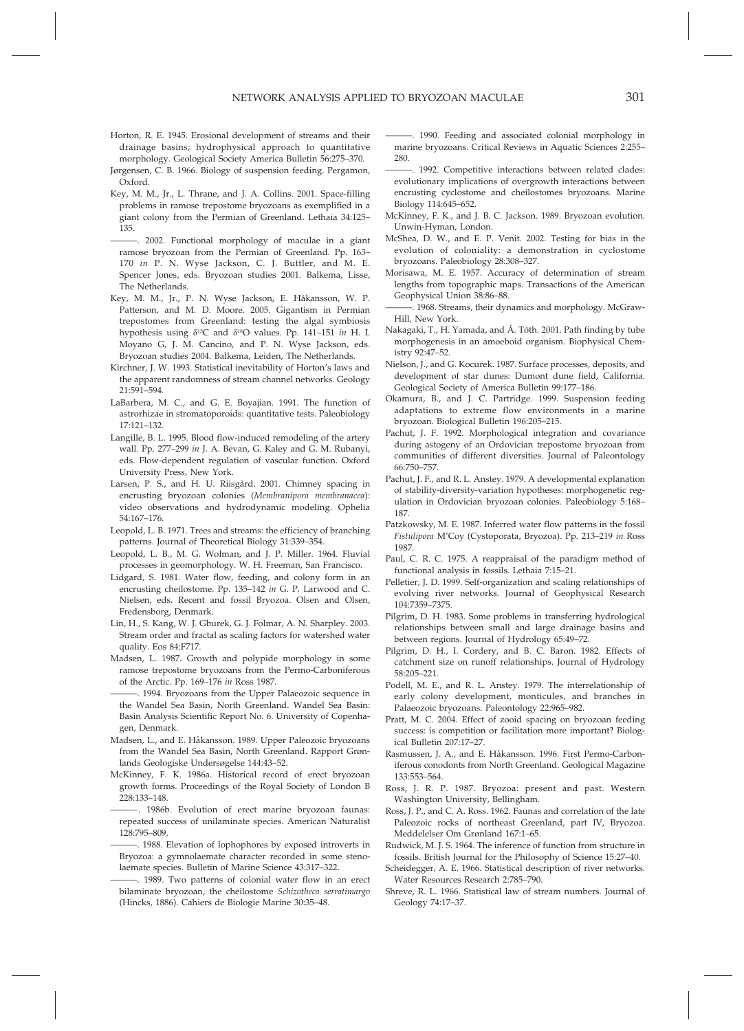- Horton, R. E. 1945. Erosional development of streams and their drainage basins; hydrophysical approach to quantitative morphology. Geological Society America Bulletin 56:275–370.
- Jørgensen, C. B. 1966. Biology of suspension feeding. Pergamon, Oxford.
- Key, M. M., Jr., L. Thrane, and J. A. Collins. 2001. Space-filling problems in ramose trepostome bryozoans as exemplified in a giant colony from the Permian of Greenland. Lethaia 34:125– 135.
- ———. 2002. Functional morphology of maculae in a giant ramose bryozoan from the Permian of Greenland. Pp. 163– 170 in P. N. Wyse Jackson, C. J. Buttler, and M. E. Spencer Jones, eds. Bryozoan studies 2001. Balkema, Lisse, The Netherlands.
- Key, M. M., Jr., P. N. Wyse Jackson, E. Håkansson, W. P. Patterson, and M. D. Moore. 2005. Gigantism in Permian trepostomes from Greenland: testing the algal symbiosis hypothesis using  $\delta^{13}C$  and  $\delta^{18}O$  values. Pp. 141–151 in H. I. Moyano G, J. M. Cancino, and P. N. Wyse Jackson, eds. Bryozoan studies 2004. Balkema, Leiden, The Netherlands.
- Kirchner, J. W. 1993. Statistical inevitability of Horton's laws and the apparent randomness of stream channel networks. Geology 21:591–594.
- LaBarbera, M. C., and G. E. Boyajian. 1991. The function of astrorhizae in stromatoporoids: quantitative tests. Paleobiology 17:121–132.
- Langille, B. L. 1995. Blood flow-induced remodeling of the artery wall. Pp. 277–299 in J. A. Bevan, G. Kaley and G. M. Rubanyi, eds. Flow-dependent regulation of vascular function. Oxford University Press, New York.
- Larsen, P. S., and H. U. Riisgård. 2001. Chimney spacing in encrusting bryozoan colonies (Membranipora membranacea): video observations and hydrodynamic modeling. Ophelia 54:167–176.
- Leopold, L. B. 1971. Trees and streams: the efficiency of branching patterns. Journal of Theoretical Biology 31:339–354.
- Leopold, L. B., M. G. Wolman, and J. P. Miller. 1964. Fluvial processes in geomorphology. W. H. Freeman, San Francisco.
- Lidgard, S. 1981. Water flow, feeding, and colony form in an encrusting cheilostome. Pp. 135–142 in G. P. Larwood and C. Nielsen, eds. Recent and fossil Bryozoa. Olsen and Olsen, Fredensborg, Denmark.
- Lin, H., S. Kang, W. J. Gburek, G. J. Folmar, A. N. Sharpley. 2003. Stream order and fractal as scaling factors for watershed water quality. Eos 84:F717.
- Madsen, L. 1987. Growth and polypide morphology in some ramose trepostome bryozoans from the Permo-Carboniferous of the Arctic. Pp. 169–176 in Ross 1987.
- -. 1994. Bryozoans from the Upper Palaeozoic sequence in the Wandel Sea Basin, North Greenland. Wandel Sea Basin: Basin Analysis Scientific Report No. 6. University of Copenhagen, Denmark.
- Madsen, L., and E. Håkansson. 1989. Upper Paleozoic bryozoans from the Wandel Sea Basin, North Greenland. Rapport Grønlands Geologiske Undersøgelse 144:43–52.
- McKinney, F. K. 1986a. Historical record of erect bryozoan growth forms. Proceedings of the Royal Society of London B 228:133–148.
- -. 1986b. Evolution of erect marine bryozoan faunas: repeated success of unilaminate species. American Naturalist 128:795–809.
- -. 1988. Elevation of lophophores by exposed introverts in Bryozoa: a gymnolaemate character recorded in some stenolaemate species. Bulletin of Marine Science 43:317–322.
- ———. 1989. Two patterns of colonial water flow in an erect bilaminate bryozoan, the cheilostome Schizotheca serratimargo (Hincks, 1886). Cahiers de Biologie Marine 30:35–48.
- ———. 1990. Feeding and associated colonial morphology in marine bryozoans. Critical Reviews in Aquatic Sciences 2:255– 280.
- -. 1992. Competitive interactions between related clades: evolutionary implications of overgrowth interactions between encrusting cyclostome and cheilostomes bryozoans. Marine Biology 114:645–652.
- McKinney, F. K., and J. B. C. Jackson. 1989. Bryozoan evolution. Unwin-Hyman, London.
- McShea, D. W., and E. P. Venit. 2002. Testing for bias in the evolution of coloniality: a demonstration in cyclostome bryozoans. Paleobiology 28:308–327.
- Morisawa, M. E. 1957. Accuracy of determination of stream lengths from topographic maps. Transactions of the American Geophysical Union 38:86–88.
- ———. 1968. Streams, their dynamics and morphology. McGraw-Hill, New York.
- Nakagaki, T., H. Yamada, and Á. Tóth. 2001. Path finding by tube morphogenesis in an amoeboid organism. Biophysical Chemistry 92:47–52.
- Nielson, J., and G. Kocurek. 1987. Surface processes, deposits, and development of star dunes: Dumont dune field, California. Geological Society of America Bulletin 99:177–186.
- Okamura, B., and J. C. Partridge. 1999. Suspension feeding adaptations to extreme flow environments in a marine bryozoan. Biological Bulletin 196:205–215.
- Pachut, J. F. 1992. Morphological integration and covariance during astogeny of an Ordovician trepostome bryozoan from communities of different diversities. Journal of Paleontology 66:750–757.
- Pachut, J. F., and R. L. Anstey. 1979. A developmental explanation of stability-diversity-variation hypotheses: morphogenetic regulation in Ordovician bryozoan colonies. Paleobiology 5:168– 187.
- Patzkowsky, M. E. 1987. Inferred water flow patterns in the fossil Fistulipora M'Coy (Cystoporata, Bryozoa). Pp. 213–219 in Ross 1987.
- Paul, C. R. C. 1975. A reappraisal of the paradigm method of functional analysis in fossils. Lethaia 7:15–21.
- Pelletier, J. D. 1999. Self-organization and scaling relationships of evolving river networks. Journal of Geophysical Research 104:7359–7375.
- Pilgrim, D. H. 1983. Some problems in transferring hydrological relationships between small and large drainage basins and between regions. Journal of Hydrology 65:49–72.
- Pilgrim, D. H., I. Cordery, and B. C. Baron. 1982. Effects of catchment size on runoff relationships. Journal of Hydrology 58:205–221.
- Podell, M. E., and R. L. Anstey. 1979. The interrelationship of early colony development, monticules, and branches in Palaeozoic bryozoans. Paleontology 22:965–982.
- Pratt, M. C. 2004. Effect of zooid spacing on bryozoan feeding success: is competition or facilitation more important? Biological Bulletin 207:17–27.
- Rasmussen, J. A., and E. Håkansson. 1996. First Permo-Carboniferous conodonts from North Greenland. Geological Magazine 133:553–564.
- Ross, J. R. P. 1987. Bryozoa: present and past. Western Washington University, Bellingham.
- Ross, J. P., and C. A. Ross. 1962. Faunas and correlation of the late Paleozoic rocks of northeast Greenland, part IV, Bryozoa. Meddelelser Om Grønland 167:1–65.
- Rudwick, M. J. S. 1964. The inference of function from structure in fossils. British Journal for the Philosophy of Science 15:27–40.
- Scheidegger, A. E. 1966. Statistical description of river networks. Water Resources Research 2:785–790.
- Shreve, R. L. 1966. Statistical law of stream numbers. Journal of Geology 74:17–37.